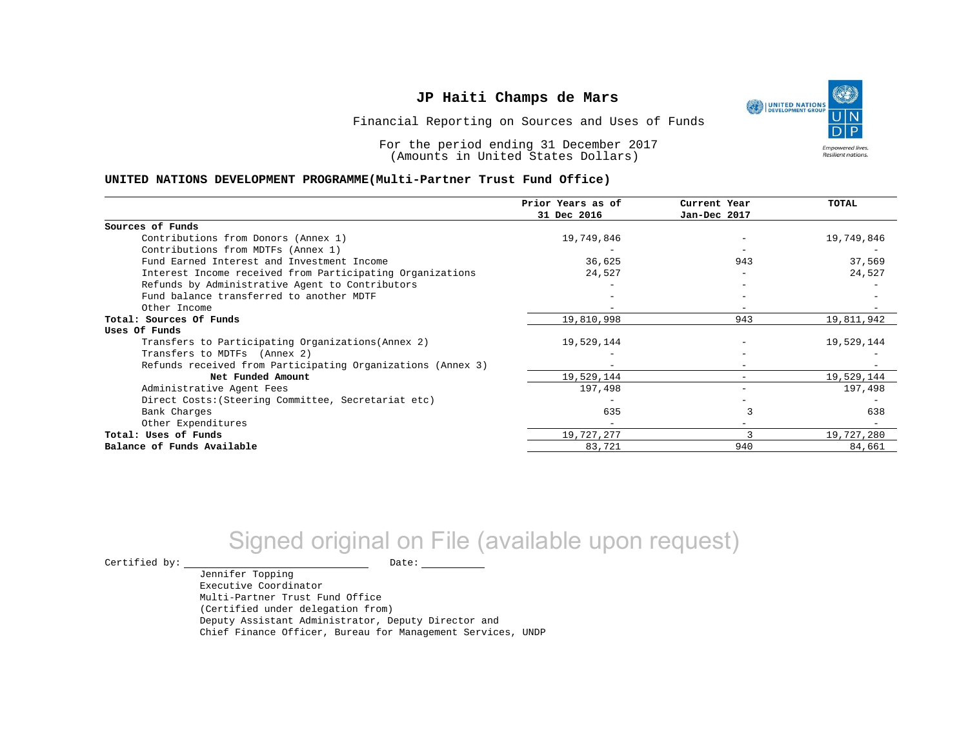UNITED NATIONS **Empowered lives** Resilient nations.

Financial Reporting on Sources and Uses of Funds

For the period ending 31 December 2017 (Amounts in United States Dollars)

#### **UNITED NATIONS DEVELOPMENT PROGRAMME(Multi-Partner Trust Fund Office)**

|                                                             | Prior Years as of | Current Year | <b>TOTAL</b> |
|-------------------------------------------------------------|-------------------|--------------|--------------|
|                                                             | 31 Dec 2016       | Jan-Dec 2017 |              |
| Sources of Funds                                            |                   |              |              |
| Contributions from Donors (Annex 1)                         | 19,749,846        |              | 19,749,846   |
| Contributions from MDTFs (Annex 1)                          |                   |              |              |
| Fund Earned Interest and Investment Income                  | 36,625            | 943          | 37,569       |
| Interest Income received from Participating Organizations   | 24,527            |              | 24,527       |
| Refunds by Administrative Agent to Contributors             |                   |              |              |
| Fund balance transferred to another MDTF                    |                   |              |              |
| Other Income                                                |                   |              |              |
| Total: Sources Of Funds                                     | 19,810,998        | 943          | 19,811,942   |
| Uses Of Funds                                               |                   |              |              |
| Transfers to Participating Organizations (Annex 2)          | 19,529,144        |              | 19,529,144   |
| Transfers to MDTFs (Annex 2)                                |                   |              |              |
| Refunds received from Participating Organizations (Annex 3) |                   |              |              |
| Net Funded Amount                                           | 19,529,144        | $\equiv$     | 19,529,144   |
| Administrative Agent Fees                                   | 197,498           |              | 197,498      |
| Direct Costs: (Steering Committee, Secretariat etc)         |                   |              |              |
| Bank Charges                                                | 635               |              | 638          |
| Other Expenditures                                          |                   |              |              |
| Total: Uses of Funds                                        | 19,727,277        |              | 19,727,280   |
| Balance of Funds Available                                  | 83,721            | 940          | 84,661       |

# Signed original on File (available upon request)

 $\begin{tabular}{ccccc} \multicolumn{2}{c|}{\textbf{Certified by:}} & \multicolumn{2}{c|}{\textbf{Date:}} \end{tabular}$ 

Jennifer Topping Executive Coordinator Multi-Partner Trust Fund Office (Certified under delegation from) Deputy Assistant Administrator, Deputy Director and Chief Finance Officer, Bureau for Management Services, UNDP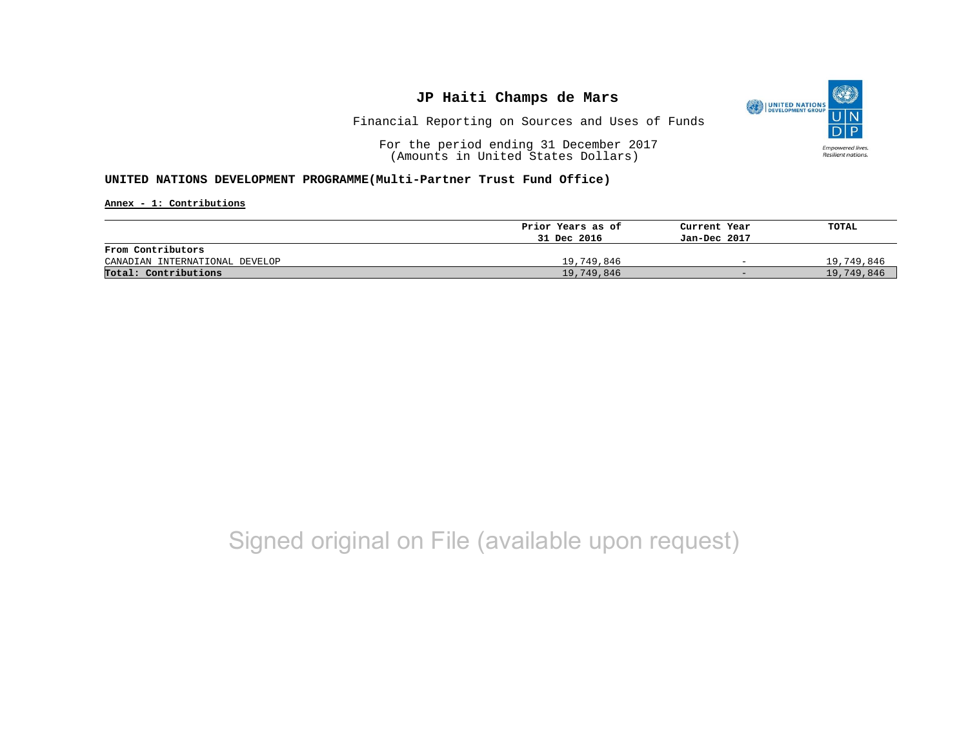

Financial Reporting on Sources and Uses of Funds

For the period ending 31 December 2017 (Amounts in United States Dollars)

#### **UNITED NATIONS DEVELOPMENT PROGRAMME(Multi-Partner Trust Fund Office)**

**Annex - 1: Contributions**

|                                | Prior Years as of | Current Year             | TOTAL      |
|--------------------------------|-------------------|--------------------------|------------|
|                                | 31 Dec 2016       | Jan-Dec 2017             |            |
| From Contributors              |                   |                          |            |
| CANADIAN INTERNATIONAL DEVELOP | 19,749,846        | $\overline{\phantom{0}}$ | 19,749,846 |
| Total: Contributions           | 19,749,846        | $-$                      | 19,749,846 |

## Signed original on File (available upon request)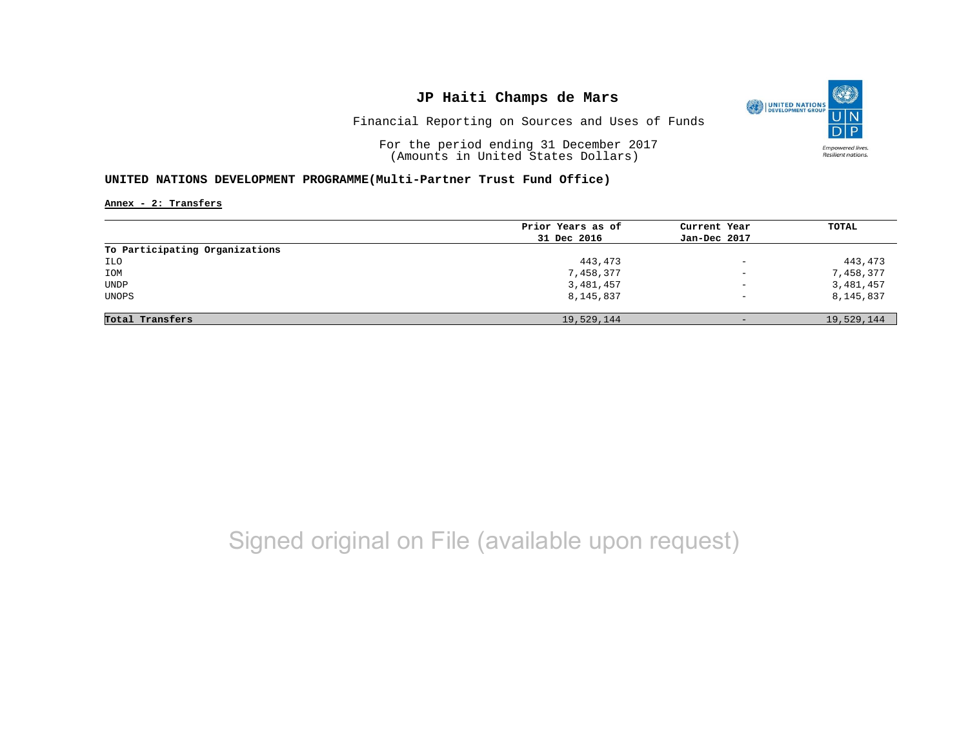

Financial Reporting on Sources and Uses of Funds

For the period ending 31 December 2017 (Amounts in United States Dollars)

#### **UNITED NATIONS DEVELOPMENT PROGRAMME(Multi-Partner Trust Fund Office)**

**Annex - 2: Transfers**

|                                | Prior Years as of | Current Year             | <b>TOTAL</b> |
|--------------------------------|-------------------|--------------------------|--------------|
|                                | 31 Dec 2016       | Jan-Dec 2017             |              |
| To Participating Organizations |                   |                          |              |
| ILO                            | 443,473           | $\overline{\phantom{a}}$ | 443,473      |
| IOM                            | 7,458,377         | $\overline{\phantom{0}}$ | 7,458,377    |
| <b>UNDP</b>                    | 3,481,457         | $\qquad \qquad -$        | 3,481,457    |
| UNOPS                          | 8,145,837         | $\qquad \qquad -$        | 8,145,837    |
|                                |                   |                          |              |
| Total Transfers                | 19,529,144        | $-$                      | 19,529,144   |

# Signed original on File (available upon request)